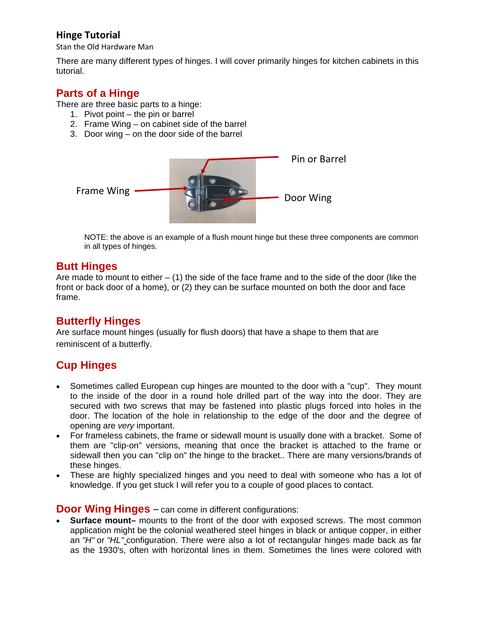## **Hinge Tutorial**

Stan the Old Hardware Man

There are many different types of hinges. I will cover primarily hinges for kitchen cabinets in this tutorial.

# **Parts of a Hinge**

There are three basic parts to a hinge:

- 1. Pivot point the pin or barrel
- 2. Frame Wing on cabinet side of the barrel
- 3. Door wing on the door side of the barrel



NOTE: the above is an example of a flush mount hinge but these three components are common in all types of hinges.

### **Butt Hinges**

Are made to mount to either  $-$  (1) the side of the face frame and to the side of the door (like the front or back door of a home), or (2) they can be surface mounted on both the door and face frame.

## **Butterfly Hinges**

Are surface mount hinges (usually for flush doors) that have a shape to them that are reminiscent of a butterfly.

# **Cup Hinges**

- Sometimes called European cup hinges are mounted to the door with a "cup". They mount to the inside of the door in a round hole drilled part of the way into the door. They are secured with two screws that may be fastened into plastic plugs forced into holes in the door. The location of the hole in relationship to the edge of the door and the degree of opening are *very* important.
- For frameless cabinets, the frame or sidewall mount is usually done with a bracket. Some of them are "clip-on" versions, meaning that once the bracket is attached to the frame or sidewall then you can "clip on" the hinge to the bracket.. There are many versions/brands of these hinges.
- These are highly specialized hinges and you need to deal with someone who has a lot of knowledge. If you get stuck I will refer you to a couple of good places to contact.

### **Door Wing Hinges** – can come in different configurations:

 **Surface mount–** mounts to the front of the door with exposed screws. The most common application might be the colonial weathered steel hinges in black or antique copper, in either an *"H"* or *"HL"* configuration. There were also a lot of rectangular hinges made back as far as the 1930's, often with horizontal lines in them. Sometimes the lines were colored with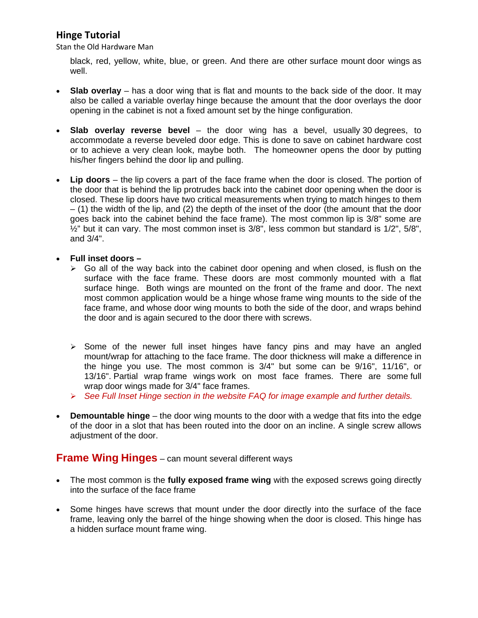### **Hinge Tutorial**

Stan the Old Hardware Man

black, red, yellow, white, blue, or green. And there are other surface mount door wings as well.

- **Slab overlay** has a door wing that is flat and mounts to the back side of the door. It may also be called a variable overlay hinge because the amount that the door overlays the door opening in the cabinet is not a fixed amount set by the hinge configuration.
- **Slab overlay reverse bevel** the door wing has a bevel, usually 30 degrees, to accommodate a reverse beveled door edge. This is done to save on cabinet hardware cost or to achieve a very clean look, maybe both. The homeowner opens the door by putting his/her fingers behind the door lip and pulling.
- **Lip doors** the lip covers a part of the face frame when the door is closed. The portion of the door that is behind the lip protrudes back into the cabinet door opening when the door is closed. These lip doors have two critical measurements when trying to match hinges to them – (1) the width of the lip, and (2) the depth of the inset of the door (the amount that the door goes back into the cabinet behind the face frame). The most common lip is 3/8" some are  $\frac{1}{2}$ " but it can vary. The most common inset is  $3/8$ ", less common but standard is  $1/2$ ",  $5/8$ ", and 3/4".

#### **Full inset doors –**

- $\triangleright$  Go all of the way back into the cabinet door opening and when closed, is flush on the surface with the face frame. These doors are most commonly mounted with a flat surface hinge. Both wings are mounted on the front of the frame and door. The next most common application would be a hinge whose frame wing mounts to the side of the face frame, and whose door wing mounts to both the side of the door, and wraps behind the door and is again secured to the door there with screws.
- $\triangleright$  Some of the newer full inset hinges have fancy pins and may have an angled mount/wrap for attaching to the face frame. The door thickness will make a difference in the hinge you use. The most common is 3/4" but some can be 9/16", 11/16", or 13/16". Partial wrap frame wings work on most face frames. There are some full wrap door wings made for 3/4" face frames.
- *See Full Inset Hinge section in the website FAQ for image example and further details.*
- **Demountable hinge** the door wing mounts to the door with a wedge that fits into the edge of the door in a slot that has been routed into the door on an incline. A single screw allows adjustment of the door.

### **Frame Wing Hinges** – can mount several different ways

- The most common is the **fully exposed frame wing** with the exposed screws going directly into the surface of the face frame
- Some hinges have screws that mount under the door directly into the surface of the face frame, leaving only the barrel of the hinge showing when the door is closed. This hinge has a hidden surface mount frame wing.